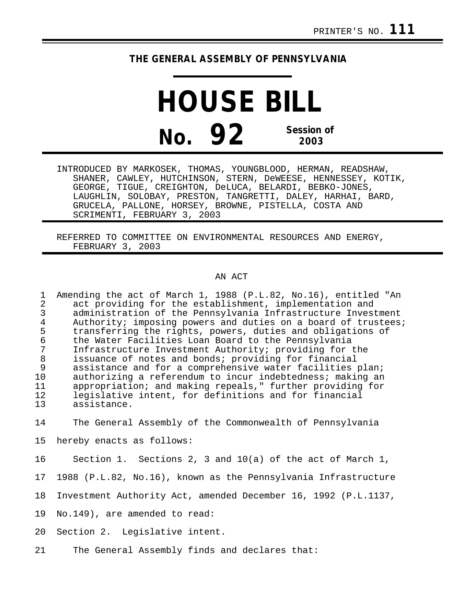## **THE GENERAL ASSEMBLY OF PENNSYLVANIA**

**HOUSE BILL No. 92 Session of 2003**

INTRODUCED BY MARKOSEK, THOMAS, YOUNGBLOOD, HERMAN, READSHAW, SHANER, CAWLEY, HUTCHINSON, STERN, DeWEESE, HENNESSEY, KOTIK, GEORGE, TIGUE, CREIGHTON, DeLUCA, BELARDI, BEBKO-JONES, LAUGHLIN, SOLOBAY, PRESTON, TANGRETTI, DALEY, HARHAI, BARD, GRUCELA, PALLONE, HORSEY, BROWNE, PISTELLA, COSTA AND SCRIMENTI, FEBRUARY 3, 2003

REFERRED TO COMMITTEE ON ENVIRONMENTAL RESOURCES AND ENERGY, FEBRUARY 3, 2003

## AN ACT

1 Amending the act of March 1, 1988 (P.L.82, No.16), entitled "An 2 act providing for the establishment, implementation and<br>3 administration of the Pennsylvania Infrastructure Inves 3 administration of the Pennsylvania Infrastructure Investment<br>4 Authority; imposing powers and duties on a board of trustees 4 Authority; imposing powers and duties on a board of trustees;<br>5 transferring the rights, powers, duties and obligations of 5 transferring the rights, powers, duties and obligations of 6 the Water Facilities Loan Board to the Pennsylvania 7 Infrastructure Investment Authority; providing for the 8 issuance of notes and bonds; providing for financial assistance and for a comprehensive water facilities plan; 10 authorizing a referendum to incur indebtedness; making an<br>11 appropriation; and making repeals." further providing for appropriation; and making repeals," further providing for 12 legislative intent, for definitions and for financial assistance.

14 The General Assembly of the Commonwealth of Pennsylvania

15 hereby enacts as follows:

- 16 Section 1. Sections 2, 3 and 10(a) of the act of March 1,
- 17 1988 (P.L.82, No.16), known as the Pennsylvania Infrastructure
- 18 Investment Authority Act, amended December 16, 1992 (P.L.1137,
- 19 No.149), are amended to read:
- 20 Section 2. Legislative intent.
- 21 The General Assembly finds and declares that: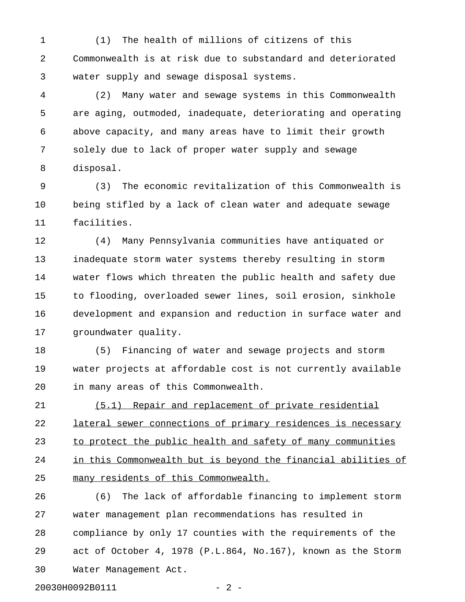1 (1) The health of millions of citizens of this 2 Commonwealth is at risk due to substandard and deteriorated 3 water supply and sewage disposal systems.

4 (2) Many water and sewage systems in this Commonwealth 5 are aging, outmoded, inadequate, deteriorating and operating 6 above capacity, and many areas have to limit their growth 7 solely due to lack of proper water supply and sewage 8 disposal.

9 (3) The economic revitalization of this Commonwealth is 10 being stifled by a lack of clean water and adequate sewage 11 facilities.

12 (4) Many Pennsylvania communities have antiquated or 13 inadequate storm water systems thereby resulting in storm 14 water flows which threaten the public health and safety due 15 to flooding, overloaded sewer lines, soil erosion, sinkhole 16 development and expansion and reduction in surface water and 17 groundwater quality.

18 (5) Financing of water and sewage projects and storm 19 water projects at affordable cost is not currently available 20 in many areas of this Commonwealth.

21 (5.1) Repair and replacement of private residential 22 lateral sewer connections of primary residences is necessary 23 to protect the public health and safety of many communities 24 in this Commonwealth but is beyond the financial abilities of 25 many residents of this Commonwealth.

26 (6) The lack of affordable financing to implement storm 27 water management plan recommendations has resulted in 28 compliance by only 17 counties with the requirements of the 29 act of October 4, 1978 (P.L.864, No.167), known as the Storm 30 Water Management Act.

20030H0092B0111 - 2 -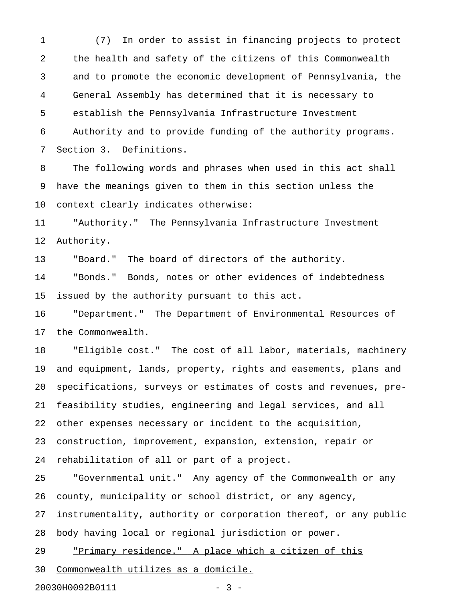1 (7) In order to assist in financing projects to protect 2 the health and safety of the citizens of this Commonwealth 3 and to promote the economic development of Pennsylvania, the 4 General Assembly has determined that it is necessary to 5 establish the Pennsylvania Infrastructure Investment 6 Authority and to provide funding of the authority programs. 7 Section 3. Definitions.

8 The following words and phrases when used in this act shall 9 have the meanings given to them in this section unless the 10 context clearly indicates otherwise:

11 "Authority." The Pennsylvania Infrastructure Investment 12 Authority.

13 "Board." The board of directors of the authority.

14 "Bonds." Bonds, notes or other evidences of indebtedness 15 issued by the authority pursuant to this act.

16 "Department." The Department of Environmental Resources of 17 the Commonwealth.

18 "Eligible cost." The cost of all labor, materials, machinery 19 and equipment, lands, property, rights and easements, plans and 20 specifications, surveys or estimates of costs and revenues, pre-21 feasibility studies, engineering and legal services, and all 22 other expenses necessary or incident to the acquisition, 23 construction, improvement, expansion, extension, repair or 24 rehabilitation of all or part of a project.

25 "Governmental unit." Any agency of the Commonwealth or any 26 county, municipality or school district, or any agency, 27 instrumentality, authority or corporation thereof, or any public 28 body having local or regional jurisdiction or power. 29 "Primary residence." A place which a citizen of this \_\_\_\_\_\_\_\_\_\_\_\_\_\_\_\_\_\_\_\_\_\_\_\_\_\_\_\_\_\_\_\_\_\_\_\_\_\_\_\_\_\_\_\_\_\_\_\_\_\_\_\_\_

30 Commonwealth utilizes as a domicile.

20030H0092B0111 - 3 -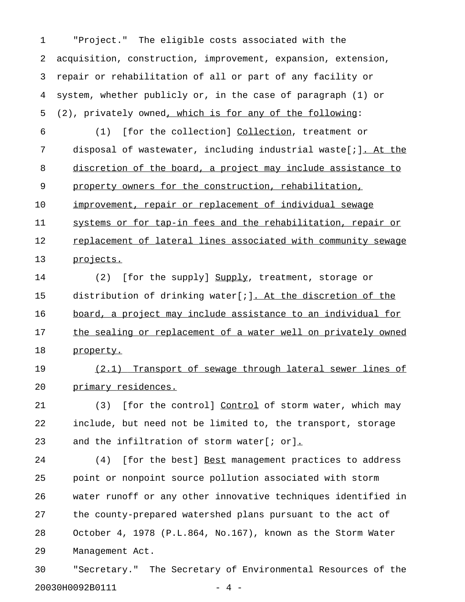1 "Project." The eligible costs associated with the 2 acquisition, construction, improvement, expansion, extension, 3 repair or rehabilitation of all or part of any facility or 4 system, whether publicly or, in the case of paragraph (1) or 5 (2), privately owned, which is for any of the following:

6 (1) [for the collection] Collection, treatment or \_\_\_\_\_\_\_\_\_\_ 7 disposal of wastewater, including industrial waste[;]. At the 8 discretion of the board, a project may include assistance to 9 property owners for the construction, rehabilitation, 10 improvement, repair or replacement of individual sewage 11 systems or for tap-in fees and the rehabilitation, repair or 12 replacement of lateral lines associated with community sewage 13 projects.

14 (2) [for the supply] Supply, treatment, storage or 15 distribution of drinking water[;]. At the discretion of the 16 board, a project may include assistance to an individual for 17 the sealing or replacement of a water well on privately owned 18 property.

19 (2.1) Transport of sewage through lateral sewer lines of 20 primary residences.

21 (3) [for the control] Control of storm water, which may 22 include, but need not be limited to, the transport, storage 23 and the infiltration of storm water[; or].

24 (4) [for the best] Best management practices to address 25 point or nonpoint source pollution associated with storm 26 water runoff or any other innovative techniques identified in 27 the county-prepared watershed plans pursuant to the act of 28 October 4, 1978 (P.L.864, No.167), known as the Storm Water 29 Management Act.

30 "Secretary." The Secretary of Environmental Resources of the 20030H0092B0111 - 4 -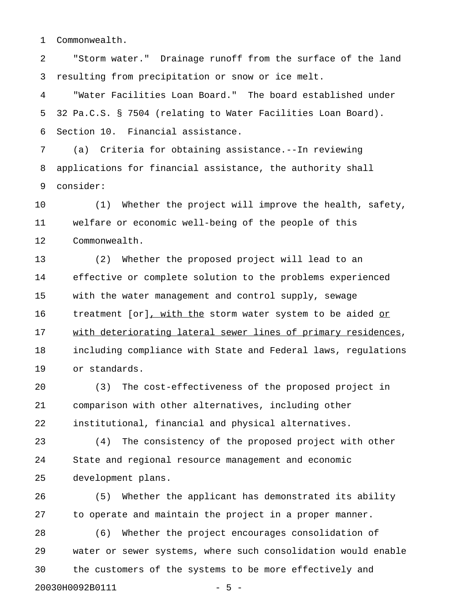1 Commonwealth.

2 "Storm water." Drainage runoff from the surface of the land 3 resulting from precipitation or snow or ice melt.

4 "Water Facilities Loan Board." The board established under 5 32 Pa.C.S. § 7504 (relating to Water Facilities Loan Board). 6 Section 10. Financial assistance.

7 (a) Criteria for obtaining assistance.--In reviewing 8 applications for financial assistance, the authority shall 9 consider:

10 (1) Whether the project will improve the health, safety, 11 welfare or economic well-being of the people of this 12 Commonwealth.

13 (2) Whether the proposed project will lead to an 14 effective or complete solution to the problems experienced 15 with the water management and control supply, sewage 16 treatment [or], with the storm water system to be aided or 17 with deteriorating lateral sewer lines of primary residences, 18 including compliance with State and Federal laws, regulations 19 or standards.

20 (3) The cost-effectiveness of the proposed project in 21 comparison with other alternatives, including other 22 institutional, financial and physical alternatives.

23 (4) The consistency of the proposed project with other 24 State and regional resource management and economic 25 development plans.

26 (5) Whether the applicant has demonstrated its ability 27 to operate and maintain the project in a proper manner.

28 (6) Whether the project encourages consolidation of 29 water or sewer systems, where such consolidation would enable 30 the customers of the systems to be more effectively and 20030H0092B0111 - 5 -